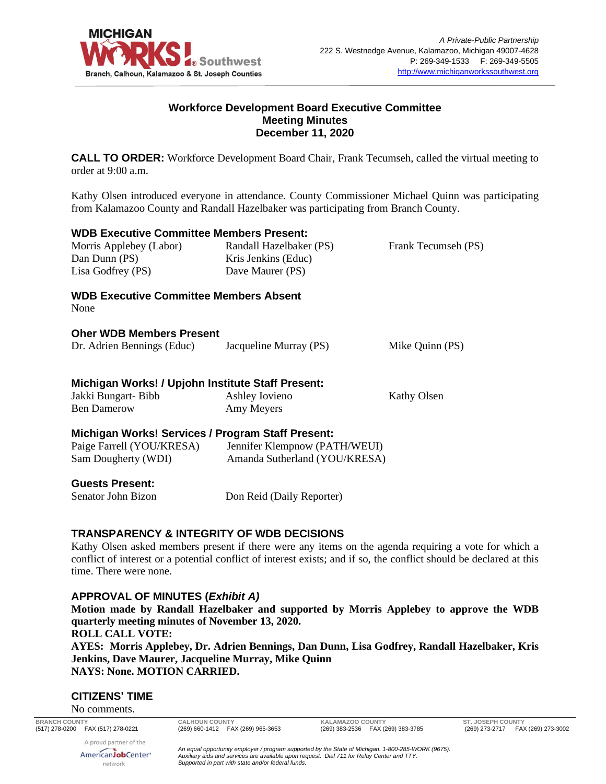

## **Workforce Development Board Executive Committee Meeting Minutes December 11, 2020**

**CALL TO ORDER:** Workforce Development Board Chair, Frank Tecumseh, called the virtual meeting to order at 9:00 a.m.

Kathy Olsen introduced everyone in attendance. County Commissioner Michael Quinn was participating from Kalamazoo County and Randall Hazelbaker was participating from Branch County.

| <b>WDB Executive Committee Members Present:</b>       |                               |                     |
|-------------------------------------------------------|-------------------------------|---------------------|
| Morris Applebey (Labor)                               | Randall Hazelbaker (PS)       | Frank Tecumseh (PS) |
| Dan Dunn (PS)                                         | Kris Jenkins (Educ)           |                     |
| Lisa Godfrey (PS)                                     | Dave Maurer (PS)              |                     |
| <b>WDB Executive Committee Members Absent</b><br>None |                               |                     |
| <b>Oher WDB Members Present</b>                       |                               |                     |
| Dr. Adrien Bennings (Educ)                            | Jacqueline Murray (PS)        | Mike Quinn (PS)     |
| Michigan Works! / Upjohn Institute Staff Present:     |                               |                     |
| Jakki Bungart- Bibb                                   | Ashley Iovieno                | Kathy Olsen         |
| <b>Ben Damerow</b>                                    | Amy Meyers                    |                     |
| Michigan Works! Services / Program Staff Present:     |                               |                     |
| Paige Farrell (YOU/KRESA)                             | Jennifer Klempnow (PATH/WEUI) |                     |
| Sam Dougherty (WDI)                                   | Amanda Sutherland (YOU/KRESA) |                     |
| <b>Guests Present:</b>                                |                               |                     |
| Senator John Bizon                                    | Don Reid (Daily Reporter)     |                     |
|                                                       |                               |                     |

#### **TRANSPARENCY & INTEGRITY OF WDB DECISIONS**

Kathy Olsen asked members present if there were any items on the agenda requiring a vote for which a conflict of interest or a potential conflict of interest exists; and if so, the conflict should be declared at this time. There were none.

## **APPROVAL OF MINUTES (***Exhibit A)*

**Motion made by Randall Hazelbaker and supported by Morris Applebey to approve the WDB quarterly meeting minutes of November 13, 2020. ROLL CALL VOTE: AYES: Morris Applebey, Dr. Adrien Bennings, Dan Dunn, Lisa Godfrey, Randall Hazelbaker, Kris Jenkins, Dave Maurer, Jacqueline Murray, Mike Quinn**

**NAYS: None. MOTION CARRIED.**

#### **CITIZENS' TIME**

No comments.

**BRANCH COUNTY CALHOUN COUNTY KALAMAZOO COUNTY ST. JOSEPH COUNTY**

(269) 273-2717 FAX (269) 273-3002

A proud partner of the AmericanJobCenter<sup>®</sup> network

*An equal opportunity employer / program supported by the State of Michigan. 1-800-285-WORK (9675). Auxiliary aids and services are available upon request. Dial 711 for Relay Center and TTY. Supported in part with state and/or federal funds.*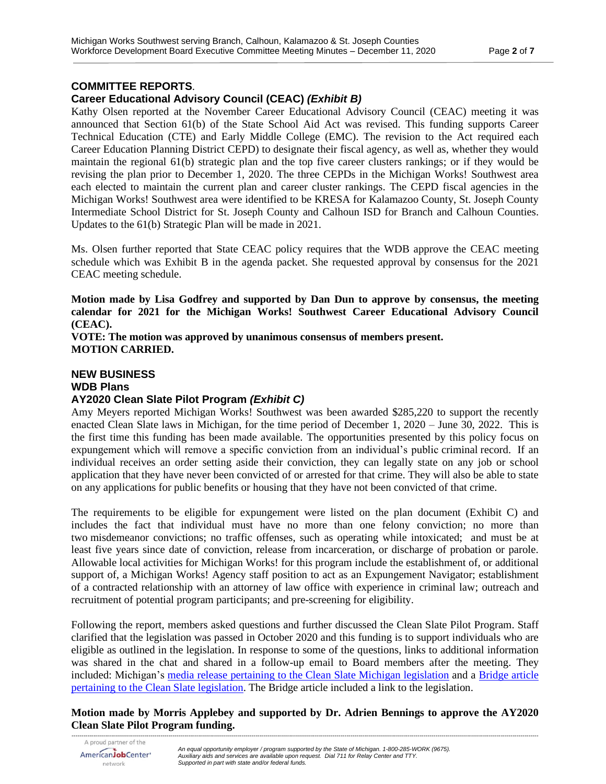#### **COMMITTEE REPORTS**.

### **Career Educational Advisory Council (CEAC)** *(Exhibit B)*

Kathy Olsen reported at the November Career Educational Advisory Council (CEAC) meeting it was announced that Section 61(b) of the State School Aid Act was revised. This funding supports Career Technical Education (CTE) and Early Middle College (EMC). The revision to the Act required each Career Education Planning District CEPD) to designate their fiscal agency, as well as, whether they would maintain the regional 61(b) strategic plan and the top five career clusters rankings; or if they would be revising the plan prior to December 1, 2020. The three CEPDs in the Michigan Works! Southwest area each elected to maintain the current plan and career cluster rankings. The CEPD fiscal agencies in the Michigan Works! Southwest area were identified to be KRESA for Kalamazoo County, St. Joseph County Intermediate School District for St. Joseph County and Calhoun ISD for Branch and Calhoun Counties. Updates to the 61(b) Strategic Plan will be made in 2021.

Ms. Olsen further reported that State CEAC policy requires that the WDB approve the CEAC meeting schedule which was Exhibit B in the agenda packet. She requested approval by consensus for the 2021 CEAC meeting schedule.

**Motion made by Lisa Godfrey and supported by Dan Dun to approve by consensus, the meeting calendar for 2021 for the Michigan Works! Southwest Career Educational Advisory Council (CEAC).** 

**VOTE: The motion was approved by unanimous consensus of members present. MOTION CARRIED.**

## **NEW BUSINESS WDB Plans AY2020 Clean Slate Pilot Program** *(Exhibit C)*

Amy Meyers reported Michigan Works! Southwest was been awarded \$285,220 to support the recently enacted Clean Slate laws in Michigan, for the time period of December 1, 2020 – June 30, 2022. This is the first time this funding has been made available. The opportunities presented by this policy focus on expungement which will remove a specific conviction from an individual's public criminal record. If an individual receives an order setting aside their conviction, they can legally state on any job or school application that they have never been convicted of or arrested for that crime. They will also be able to state on any applications for public benefits or housing that they have not been convicted of that crime.

The requirements to be eligible for expungement were listed on the plan document (Exhibit C) and includes the fact that individual must have no more than one felony conviction; no more than two misdemeanor convictions; no traffic offenses, such as operating while intoxicated; and must be at least five years since date of conviction, release from incarceration, or discharge of probation or parole. Allowable local activities for Michigan Works! for this program include the establishment of, or additional support of, a Michigan Works! Agency staff position to act as an Expungement Navigator; establishment of a contracted relationship with an attorney of law office with experience in criminal law; outreach and recruitment of potential program participants; and pre-screening for eligibility.

Following the report, members asked questions and further discussed the Clean Slate Pilot Program. Staff clarified that the legislation was passed in October 2020 and this funding is to support individuals who are eligible as outlined in the legislation. In response to some of the questions, links to additional information was shared in the chat and shared in a follow-up email to Board members after the meeting. They included: Michigan's media release [pertaining to the Clean Slate Michigan legislation](https://www.michigan.gov/whitmer/0,9309,7-387-90499-542110--,00.html) and a [Bridge article](https://www.bridgemi.com/michigan-government/whitmer-signs-clean-slate-michigan-allowing-automatic-felony-expungement)  [pertaining to the Clean Slate legislation.](https://www.bridgemi.com/michigan-government/whitmer-signs-clean-slate-michigan-allowing-automatic-felony-expungement) The Bridge article included a link to the legislation.

*--------------------------------------------------------------------------------------------------------------------------------------------------------------------------------------------------------------------------------------------* **Motion made by Morris Applebey and supported by Dr. Adrien Bennings to approve the AY2020 Clean Slate Pilot Program funding.**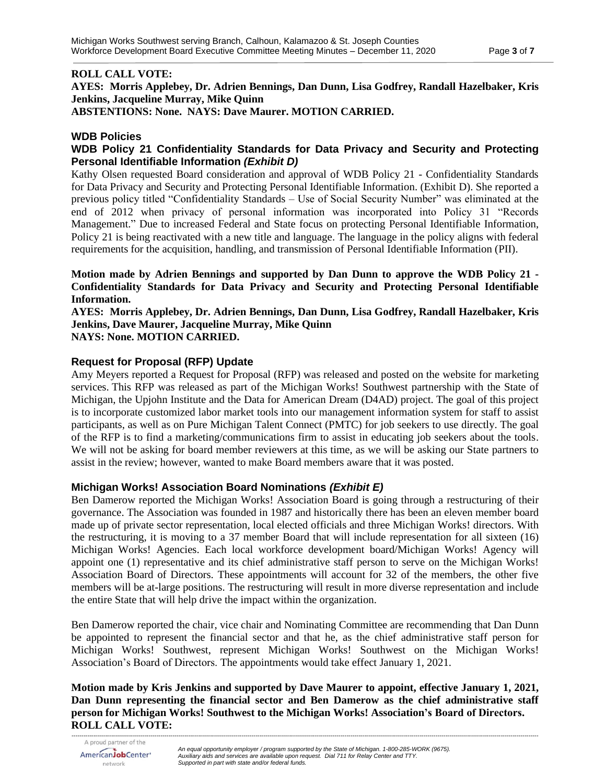#### **ROLL CALL VOTE:**

**AYES: Morris Applebey, Dr. Adrien Bennings, Dan Dunn, Lisa Godfrey, Randall Hazelbaker, Kris Jenkins, Jacqueline Murray, Mike Quinn ABSTENTIONS: None. NAYS: Dave Maurer. MOTION CARRIED.**

#### **WDB Policies**

## **WDB Policy 21 Confidentiality Standards for Data Privacy and Security and Protecting Personal Identifiable Information** *(Exhibit D)*

Kathy Olsen requested Board consideration and approval of WDB Policy 21 - Confidentiality Standards for Data Privacy and Security and Protecting Personal Identifiable Information. (Exhibit D). She reported a previous policy titled "Confidentiality Standards – Use of Social Security Number" was eliminated at the end of 2012 when privacy of personal information was incorporated into Policy 31 "Records Management." Due to increased Federal and State focus on protecting Personal Identifiable Information, Policy 21 is being reactivated with a new title and language. The language in the policy aligns with federal requirements for the acquisition, handling, and transmission of Personal Identifiable Information (PII).

**Motion made by Adrien Bennings and supported by Dan Dunn to approve the WDB Policy 21 - Confidentiality Standards for Data Privacy and Security and Protecting Personal Identifiable Information.**

**AYES: Morris Applebey, Dr. Adrien Bennings, Dan Dunn, Lisa Godfrey, Randall Hazelbaker, Kris Jenkins, Dave Maurer, Jacqueline Murray, Mike Quinn**

**NAYS: None. MOTION CARRIED.**

#### **Request for Proposal (RFP) Update**

Amy Meyers reported a Request for Proposal (RFP) was released and posted on the website for marketing services. This RFP was released as part of the Michigan Works! Southwest partnership with the State of Michigan, the Upjohn Institute and the Data for American Dream (D4AD) project. The goal of this project is to incorporate customized labor market tools into our management information system for staff to assist participants, as well as on Pure Michigan Talent Connect (PMTC) for job seekers to use directly. The goal of the RFP is to find a marketing/communications firm to assist in educating job seekers about the tools. We will not be asking for board member reviewers at this time, as we will be asking our State partners to assist in the review; however, wanted to make Board members aware that it was posted.

#### **Michigan Works! Association Board Nominations** *(Exhibit E)*

Ben Damerow reported the Michigan Works! Association Board is going through a restructuring of their governance. The Association was founded in 1987 and historically there has been an eleven member board made up of private sector representation, local elected officials and three Michigan Works! directors. With the restructuring, it is moving to a 37 member Board that will include representation for all sixteen (16) Michigan Works! Agencies. Each local workforce development board/Michigan Works! Agency will appoint one (1) representative and its chief administrative staff person to serve on the Michigan Works! Association Board of Directors. These appointments will account for 32 of the members, the other five members will be at-large positions. The restructuring will result in more diverse representation and include the entire State that will help drive the impact within the organization.

Ben Damerow reported the chair, vice chair and Nominating Committee are recommending that Dan Dunn be appointed to represent the financial sector and that he, as the chief administrative staff person for Michigan Works! Southwest, represent Michigan Works! Southwest on the Michigan Works! Association's Board of Directors. The appointments would take effect January 1, 2021.

**Motion made by Kris Jenkins and supported by Dave Maurer to appoint, effective January 1, 2021, Dan Dunn representing the financial sector and Ben Damerow as the chief administrative staff person for Michigan Works! Southwest to the Michigan Works! Association's Board of Directors. ROLL CALL VOTE:**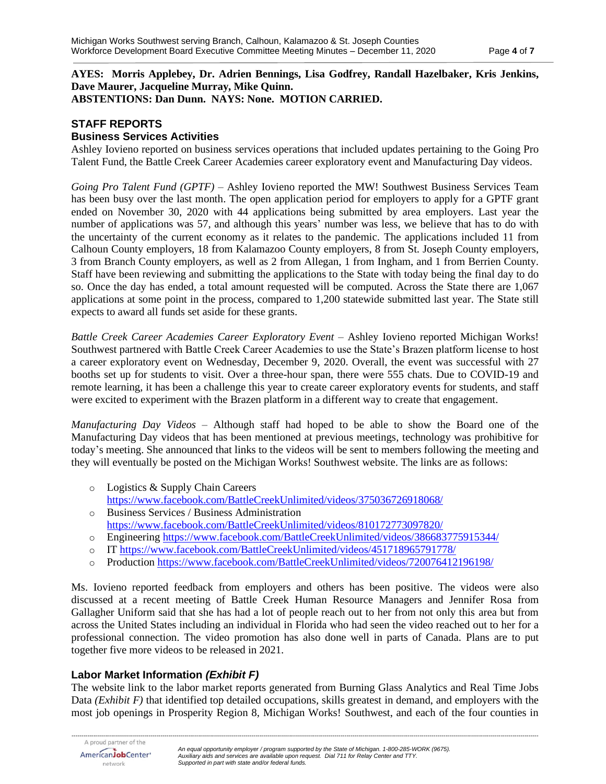#### **AYES: Morris Applebey, Dr. Adrien Bennings, Lisa Godfrey, Randall Hazelbaker, Kris Jenkins, Dave Maurer, Jacqueline Murray, Mike Quinn. ABSTENTIONS: Dan Dunn. NAYS: None. MOTION CARRIED.**

## **STAFF REPORTS**

## **Business Services Activities**

Ashley Iovieno reported on business services operations that included updates pertaining to the Going Pro Talent Fund, the Battle Creek Career Academies career exploratory event and Manufacturing Day videos.

*Going Pro Talent Fund (GPTF)* – Ashley Iovieno reported the MW! Southwest Business Services Team has been busy over the last month. The open application period for employers to apply for a GPTF grant ended on November 30, 2020 with 44 applications being submitted by area employers. Last year the number of applications was 57, and although this years' number was less, we believe that has to do with the uncertainty of the current economy as it relates to the pandemic. The applications included 11 from Calhoun County employers, 18 from Kalamazoo County employers, 8 from St. Joseph County employers, 3 from Branch County employers, as well as 2 from Allegan, 1 from Ingham, and 1 from Berrien County. Staff have been reviewing and submitting the applications to the State with today being the final day to do so. Once the day has ended, a total amount requested will be computed. Across the State there are 1,067 applications at some point in the process, compared to 1,200 statewide submitted last year. The State still expects to award all funds set aside for these grants.

*Battle Creek Career Academies Career Exploratory Event –* Ashley Iovieno reported Michigan Works! Southwest partnered with Battle Creek Career Academies to use the State's Brazen platform license to host a career exploratory event on Wednesday, December 9, 2020. Overall, the event was successful with 27 booths set up for students to visit. Over a three-hour span, there were 555 chats. Due to COVID-19 and remote learning, it has been a challenge this year to create career exploratory events for students, and staff were excited to experiment with the Brazen platform in a different way to create that engagement.

*Manufacturing Day Videos* – Although staff had hoped to be able to show the Board one of the Manufacturing Day videos that has been mentioned at previous meetings, technology was prohibitive for today's meeting. She announced that links to the videos will be sent to members following the meeting and they will eventually be posted on the Michigan Works! Southwest website. The links are as follows:

- o Logistics & Supply Chain Careers <https://www.facebook.com/BattleCreekUnlimited/videos/375036726918068/>
- o Business Services / Business Administration <https://www.facebook.com/BattleCreekUnlimited/videos/810172773097820/>
- o Engineering<https://www.facebook.com/BattleCreekUnlimited/videos/386683775915344/>
- o IT<https://www.facebook.com/BattleCreekUnlimited/videos/451718965791778/>
- o Production<https://www.facebook.com/BattleCreekUnlimited/videos/720076412196198/>

Ms. Iovieno reported feedback from employers and others has been positive. The videos were also discussed at a recent meeting of Battle Creek Human Resource Managers and Jennifer Rosa from Gallagher Uniform said that she has had a lot of people reach out to her from not only this area but from across the United States including an individual in Florida who had seen the video reached out to her for a professional connection. The video promotion has also done well in parts of Canada. Plans are to put together five more videos to be released in 2021.

# **Labor Market Information** *(Exhibit F)*

The website link to the labor market reports generated from Burning Glass Analytics and Real Time Jobs Data *(Exhibit F)* that identified top detailed occupations, skills greatest in demand, and employers with the most job openings in Prosperity Region 8, Michigan Works! Southwest, and each of the four counties in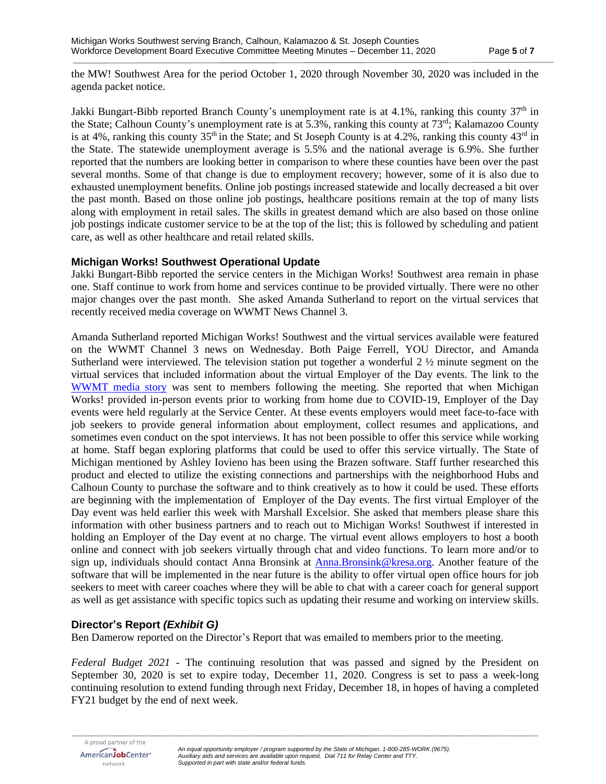the MW! Southwest Area for the period October 1, 2020 through November 30, 2020 was included in the agenda packet notice.

Jakki Bungart-Bibb reported Branch County's unemployment rate is at  $4.1\%$ , ranking this county  $37<sup>th</sup>$  in the State; Calhoun County's unemployment rate is at 5.3%, ranking this county at 73rd; Kalamazoo County is at 4%, ranking this county  $35<sup>th</sup>$  in the State; and St Joseph County is at 4.2%, ranking this county  $43<sup>rd</sup>$  in the State. The statewide unemployment average is 5.5% and the national average is 6.9%. She further reported that the numbers are looking better in comparison to where these counties have been over the past several months. Some of that change is due to employment recovery; however, some of it is also due to exhausted unemployment benefits. Online job postings increased statewide and locally decreased a bit over the past month. Based on those online job postings, healthcare positions remain at the top of many lists along with employment in retail sales. The skills in greatest demand which are also based on those online job postings indicate customer service to be at the top of the list; this is followed by scheduling and patient care, as well as other healthcare and retail related skills.

#### **Michigan Works! Southwest Operational Update**

Jakki Bungart-Bibb reported the service centers in the Michigan Works! Southwest area remain in phase one. Staff continue to work from home and services continue to be provided virtually. There were no other major changes over the past month. She asked Amanda Sutherland to report on the virtual services that recently received media coverage on WWMT News Channel 3.

Amanda Sutherland reported Michigan Works! Southwest and the virtual services available were featured on the WWMT Channel 3 news on Wednesday. Both Paige Ferrell, YOU Director, and Amanda Sutherland were interviewed. The television station put together a wonderful 2 ½ minute segment on the virtual services that included information about the virtual Employer of the Day events. The link to the WWMT [media story](https://wwmt.com/news/local/michigan-works-southwest-creates-virtual-hiring-events-workshops-to-simulate-job-fairs?fbclid=IwAR0INQZF0tIKqAGKDvdDEzQ4NUg0c2TPaCr4Q9iBJ6pnkkpMmWd5SYJLdf0) was sent to members following the meeting. She reported that when Michigan Works! provided in-person events prior to working from home due to COVID-19, Employer of the Day events were held regularly at the Service Center. At these events employers would meet face-to-face with job seekers to provide general information about employment, collect resumes and applications, and sometimes even conduct on the spot interviews. It has not been possible to offer this service while working at home. Staff began exploring platforms that could be used to offer this service virtually. The State of Michigan mentioned by Ashley Iovieno has been using the Brazen software. Staff further researched this product and elected to utilize the existing connections and partnerships with the neighborhood Hubs and Calhoun County to purchase the software and to think creatively as to how it could be used. These efforts are beginning with the implementation of Employer of the Day events. The first virtual Employer of the Day event was held earlier this week with Marshall Excelsior. She asked that members please share this information with other business partners and to reach out to Michigan Works! Southwest if interested in holding an Employer of the Day event at no charge. The virtual event allows employers to host a booth online and connect with job seekers virtually through chat and video functions. To learn more and/or to sign up, individuals should contact Anna Bronsink at [Anna.Bronsink@kresa.org.](mailto:Anna.Bronsink@kresa.org) Another feature of the software that will be implemented in the near future is the ability to offer virtual open office hours for job seekers to meet with career coaches where they will be able to chat with a career coach for general support as well as get assistance with specific topics such as updating their resume and working on interview skills.

## **Director's Report** *(Exhibit G)*

Ben Damerow reported on the Director's Report that was emailed to members prior to the meeting.

*Federal Budget 2021* - The continuing resolution that was passed and signed by the President on September 30, 2020 is set to expire today, December 11, 2020. Congress is set to pass a week-long continuing resolution to extend funding through next Friday, December 18, in hopes of having a completed FY21 budget by the end of next week.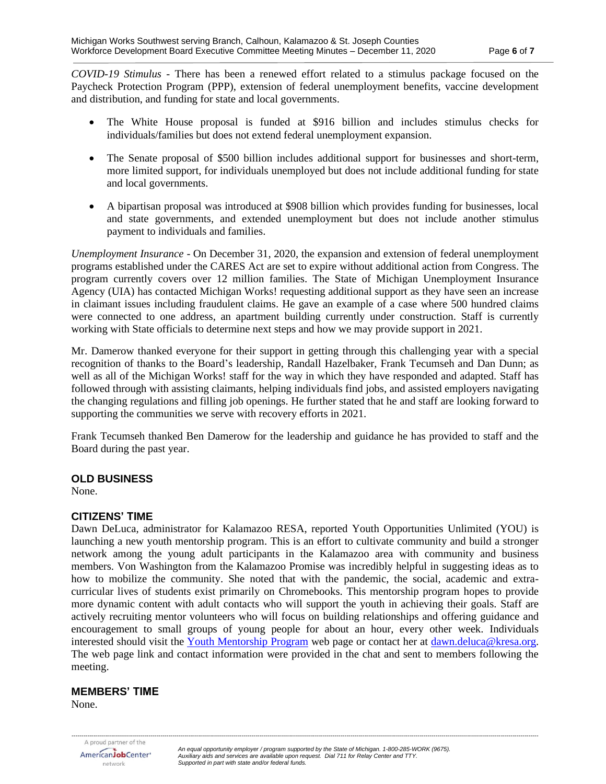*COVID-19 Stimulus* - There has been a renewed effort related to a stimulus package focused on the Paycheck Protection Program (PPP), extension of federal unemployment benefits, vaccine development and distribution, and funding for state and local governments.

- The White House proposal is funded at \$916 billion and includes stimulus checks for individuals/families but does not extend federal unemployment expansion.
- The Senate proposal of \$500 billion includes additional support for businesses and short-term, more limited support, for individuals unemployed but does not include additional funding for state and local governments.
- A bipartisan proposal was introduced at \$908 billion which provides funding for businesses, local and state governments, and extended unemployment but does not include another stimulus payment to individuals and families.

*Unemployment Insurance* - On December 31, 2020, the expansion and extension of federal unemployment programs established under the CARES Act are set to expire without additional action from Congress. The program currently covers over 12 million families. The State of Michigan Unemployment Insurance Agency (UIA) has contacted Michigan Works! requesting additional support as they have seen an increase in claimant issues including fraudulent claims. He gave an example of a case where 500 hundred claims were connected to one address, an apartment building currently under construction. Staff is currently working with State officials to determine next steps and how we may provide support in 2021.

Mr. Damerow thanked everyone for their support in getting through this challenging year with a special recognition of thanks to the Board's leadership, Randall Hazelbaker, Frank Tecumseh and Dan Dunn; as well as all of the Michigan Works! staff for the way in which they have responded and adapted. Staff has followed through with assisting claimants, helping individuals find jobs, and assisted employers navigating the changing regulations and filling job openings. He further stated that he and staff are looking forward to supporting the communities we serve with recovery efforts in 2021.

Frank Tecumseh thanked Ben Damerow for the leadership and guidance he has provided to staff and the Board during the past year.

#### **OLD BUSINESS**

None.

#### **CITIZENS' TIME**

Dawn DeLuca, administrator for Kalamazoo RESA, reported Youth Opportunities Unlimited (YOU) is launching a new youth mentorship program. This is an effort to cultivate community and build a stronger network among the young adult participants in the Kalamazoo area with community and business members. Von Washington from the Kalamazoo Promise was incredibly helpful in suggesting ideas as to how to mobilize the community. She noted that with the pandemic, the social, academic and extracurricular lives of students exist primarily on Chromebooks. This mentorship program hopes to provide more dynamic content with adult contacts who will support the youth in achieving their goals. Staff are actively recruiting mentor volunteers who will focus on building relationships and offering guidance and encouragement to small groups of young people for about an hour, every other week. Individuals interested should visit the [Youth Mentorship Program](https://www.kresa.org/site/default.aspx?PageType=3&DomainID=375&ModuleInstanceID=3208&ViewID=6446EE88-D30C-497E-9316-3F8874B3E108&RenderLoc=0&FlexDataID=4179&PageID=2310) web page or contact her at [dawn.deluca@kresa.org.](mailto:dawn.deluca@kresa.org) The web page link and contact information were provided in the chat and sent to members following the meeting.

### **MEMBERS' TIME**

None.